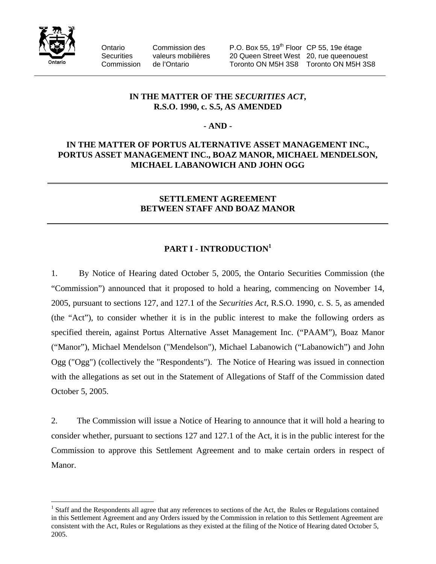

 $\overline{a}$ 

Ontario Commission des P.O. Box 55, 19<sup>th</sup> Floor CP 55, 19e étage Securities valeurs mobilières 20 Queen Street West 20, rue queenouest Commission de l'Ontario Toronto ON M5H 3S8 Toronto ON M5H 3S8

# **IN THE MATTER OF THE** *SECURITIES ACT***, R.S.O. 1990, c. S.5, AS AMENDED**

## **- AND -**

# **IN THE MATTER OF PORTUS ALTERNATIVE ASSET MANAGEMENT INC., PORTUS ASSET MANAGEMENT INC., BOAZ MANOR, MICHAEL MENDELSON, MICHAEL LABANOWICH AND JOHN OGG**

## **SETTLEMENT AGREEMENT BETWEEN STAFF AND BOAZ MANOR**

# PART I - INTRODUCTION<sup>1</sup>

1. By Notice of Hearing dated October 5, 2005, the Ontario Securities Commission (the "Commission") announced that it proposed to hold a hearing, commencing on November 14, 2005, pursuant to sections 127, and 127.1 of the *Securities Act*, R.S.O. 1990, c. S. 5, as amended (the "Act"), to consider whether it is in the public interest to make the following orders as specified therein, against Portus Alternative Asset Management Inc. ("PAAM"), Boaz Manor ("Manor"), Michael Mendelson ("Mendelson"), Michael Labanowich ("Labanowich") and John Ogg ("Ogg") (collectively the "Respondents"). The Notice of Hearing was issued in connection with the allegations as set out in the Statement of Allegations of Staff of the Commission dated October 5, 2005.

2. The Commission will issue a Notice of Hearing to announce that it will hold a hearing to consider whether, pursuant to sections 127 and 127.1 of the Act, it is in the public interest for the Commission to approve this Settlement Agreement and to make certain orders in respect of Manor.

 $<sup>1</sup>$  Staff and the Respondents all agree that any references to sections of the Act, the Rules or Regulations contained</sup> in this Settlement Agreement and any Orders issued by the Commission in relation to this Settlement Agreement are consistent with the Act, Rules or Regulations as they existed at the filing of the Notice of Hearing dated October 5, 2005.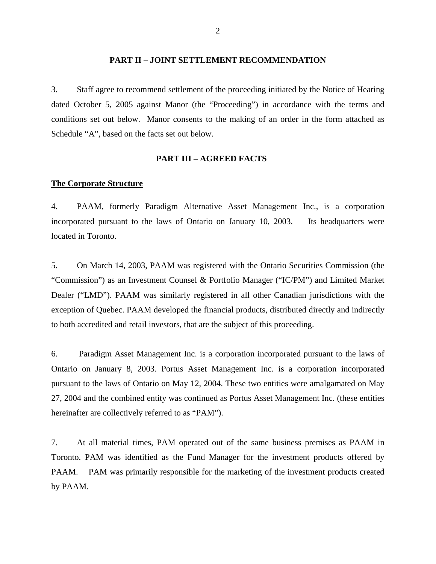#### **PART II – JOINT SETTLEMENT RECOMMENDATION**

3. Staff agree to recommend settlement of the proceeding initiated by the Notice of Hearing dated October 5, 2005 against Manor (the "Proceeding") in accordance with the terms and conditions set out below. Manor consents to the making of an order in the form attached as Schedule "A", based on the facts set out below.

#### **PART III – AGREED FACTS**

#### **The Corporate Structure**

4. PAAM, formerly Paradigm Alternative Asset Management Inc., is a corporation incorporated pursuant to the laws of Ontario on January 10, 2003. Its headquarters were located in Toronto.

5. On March 14, 2003, PAAM was registered with the Ontario Securities Commission (the "Commission") as an Investment Counsel & Portfolio Manager ("IC/PM") and Limited Market Dealer ("LMD"). PAAM was similarly registered in all other Canadian jurisdictions with the exception of Quebec. PAAM developed the financial products, distributed directly and indirectly to both accredited and retail investors, that are the subject of this proceeding.

6. Paradigm Asset Management Inc. is a corporation incorporated pursuant to the laws of Ontario on January 8, 2003. Portus Asset Management Inc. is a corporation incorporated pursuant to the laws of Ontario on May 12, 2004. These two entities were amalgamated on May 27, 2004 and the combined entity was continued as Portus Asset Management Inc. (these entities hereinafter are collectively referred to as "PAM").

7. At all material times, PAM operated out of the same business premises as PAAM in Toronto. PAM was identified as the Fund Manager for the investment products offered by PAAM. PAM was primarily responsible for the marketing of the investment products created by PAAM.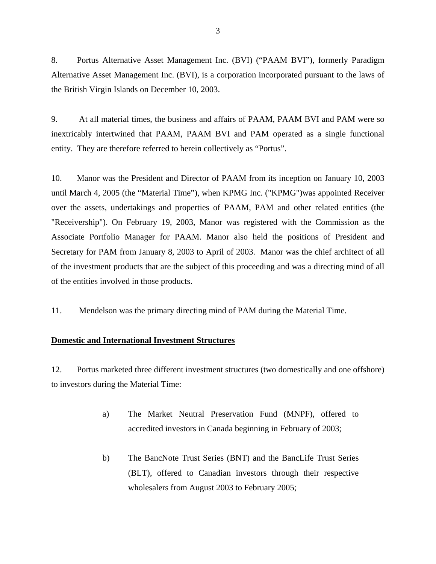8. Portus Alternative Asset Management Inc. (BVI) ("PAAM BVI"), formerly Paradigm Alternative Asset Management Inc. (BVI), is a corporation incorporated pursuant to the laws of the British Virgin Islands on December 10, 2003.

9. At all material times, the business and affairs of PAAM, PAAM BVI and PAM were so inextricably intertwined that PAAM, PAAM BVI and PAM operated as a single functional entity. They are therefore referred to herein collectively as "Portus".

10. Manor was the President and Director of PAAM from its inception on January 10, 2003 until March 4, 2005 (the "Material Time"), when KPMG Inc. ("KPMG")was appointed Receiver over the assets, undertakings and properties of PAAM, PAM and other related entities (the "Receivership"). On February 19, 2003, Manor was registered with the Commission as the Associate Portfolio Manager for PAAM. Manor also held the positions of President and Secretary for PAM from January 8, 2003 to April of 2003. Manor was the chief architect of all of the investment products that are the subject of this proceeding and was a directing mind of all of the entities involved in those products.

11. Mendelson was the primary directing mind of PAM during the Material Time.

## **Domestic and International Investment Structures**

12. Portus marketed three different investment structures (two domestically and one offshore) to investors during the Material Time:

- a) The Market Neutral Preservation Fund (MNPF), offered to accredited investors in Canada beginning in February of 2003;
- b) The BancNote Trust Series (BNT) and the BancLife Trust Series (BLT), offered to Canadian investors through their respective wholesalers from August 2003 to February 2005;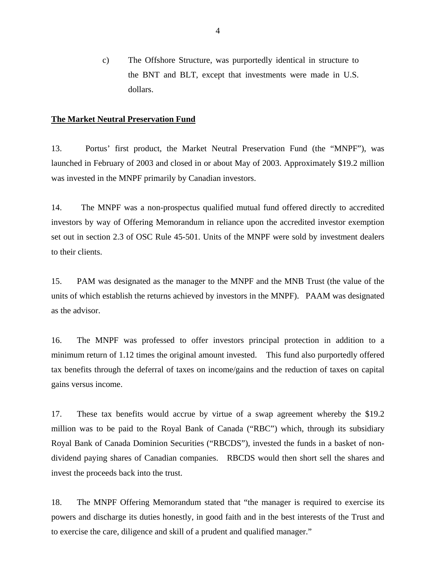c) The Offshore Structure, was purportedly identical in structure to the BNT and BLT, except that investments were made in U.S. dollars.

#### **The Market Neutral Preservation Fund**

13. Portus' first product, the Market Neutral Preservation Fund (the "MNPF"), was launched in February of 2003 and closed in or about May of 2003. Approximately \$19.2 million was invested in the MNPF primarily by Canadian investors.

14. The MNPF was a non-prospectus qualified mutual fund offered directly to accredited investors by way of Offering Memorandum in reliance upon the accredited investor exemption set out in section 2.3 of OSC Rule 45-501. Units of the MNPF were sold by investment dealers to their clients.

15. PAM was designated as the manager to the MNPF and the MNB Trust (the value of the units of which establish the returns achieved by investors in the MNPF). PAAM was designated as the advisor.

16. The MNPF was professed to offer investors principal protection in addition to a minimum return of 1.12 times the original amount invested. This fund also purportedly offered tax benefits through the deferral of taxes on income/gains and the reduction of taxes on capital gains versus income.

17. These tax benefits would accrue by virtue of a swap agreement whereby the \$19.2 million was to be paid to the Royal Bank of Canada ("RBC") which, through its subsidiary Royal Bank of Canada Dominion Securities ("RBCDS"), invested the funds in a basket of nondividend paying shares of Canadian companies. RBCDS would then short sell the shares and invest the proceeds back into the trust.

18. The MNPF Offering Memorandum stated that "the manager is required to exercise its powers and discharge its duties honestly, in good faith and in the best interests of the Trust and to exercise the care, diligence and skill of a prudent and qualified manager."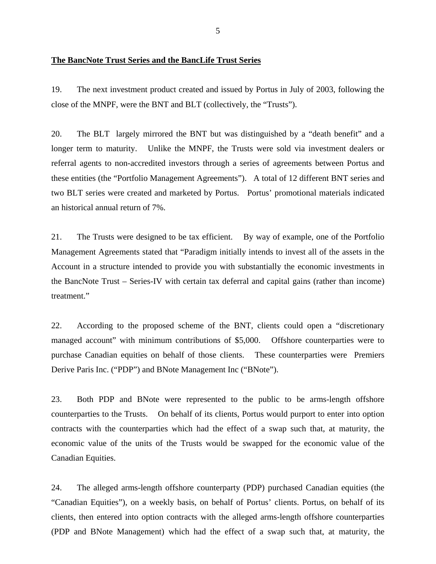#### **The BancNote Trust Series and the BancLife Trust Series**

19. The next investment product created and issued by Portus in July of 2003, following the close of the MNPF, were the BNT and BLT (collectively, the "Trusts").

20. The BLT largely mirrored the BNT but was distinguished by a "death benefit" and a longer term to maturity. Unlike the MNPF, the Trusts were sold via investment dealers or referral agents to non-accredited investors through a series of agreements between Portus and these entities (the "Portfolio Management Agreements"). A total of 12 different BNT series and two BLT series were created and marketed by Portus. Portus' promotional materials indicated an historical annual return of 7%.

21. The Trusts were designed to be tax efficient. By way of example, one of the Portfolio Management Agreements stated that "Paradigm initially intends to invest all of the assets in the Account in a structure intended to provide you with substantially the economic investments in the BancNote Trust – Series-IV with certain tax deferral and capital gains (rather than income) treatment."

22. According to the proposed scheme of the BNT, clients could open a "discretionary managed account" with minimum contributions of \$5,000. Offshore counterparties were to purchase Canadian equities on behalf of those clients. These counterparties were Premiers Derive Paris Inc. ("PDP") and BNote Management Inc ("BNote").

23. Both PDP and BNote were represented to the public to be arms-length offshore counterparties to the Trusts. On behalf of its clients, Portus would purport to enter into option contracts with the counterparties which had the effect of a swap such that, at maturity, the economic value of the units of the Trusts would be swapped for the economic value of the Canadian Equities.

24. The alleged arms-length offshore counterparty (PDP) purchased Canadian equities (the "Canadian Equities"), on a weekly basis, on behalf of Portus' clients. Portus, on behalf of its clients, then entered into option contracts with the alleged arms-length offshore counterparties (PDP and BNote Management) which had the effect of a swap such that, at maturity, the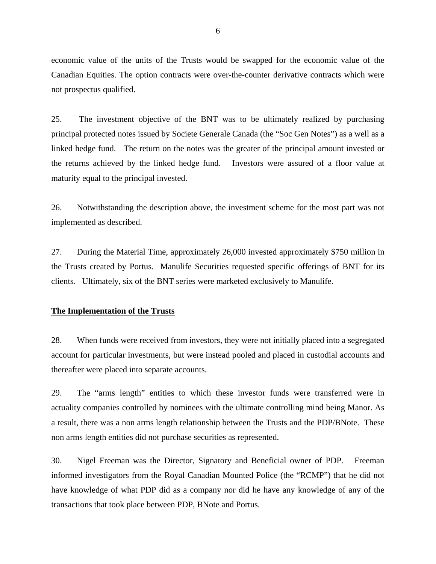economic value of the units of the Trusts would be swapped for the economic value of the Canadian Equities. The option contracts were over-the-counter derivative contracts which were not prospectus qualified.

25. The investment objective of the BNT was to be ultimately realized by purchasing principal protected notes issued by Societe Generale Canada (the "Soc Gen Notes") as a well as a linked hedge fund. The return on the notes was the greater of the principal amount invested or the returns achieved by the linked hedge fund. Investors were assured of a floor value at maturity equal to the principal invested.

26. Notwithstanding the description above, the investment scheme for the most part was not implemented as described.

27. During the Material Time, approximately 26,000 invested approximately \$750 million in the Trusts created by Portus. Manulife Securities requested specific offerings of BNT for its clients. Ultimately, six of the BNT series were marketed exclusively to Manulife.

#### **The Implementation of the Trusts**

28. When funds were received from investors, they were not initially placed into a segregated account for particular investments, but were instead pooled and placed in custodial accounts and thereafter were placed into separate accounts.

29. The "arms length" entities to which these investor funds were transferred were in actuality companies controlled by nominees with the ultimate controlling mind being Manor. As a result, there was a non arms length relationship between the Trusts and the PDP/BNote. These non arms length entities did not purchase securities as represented.

30. Nigel Freeman was the Director, Signatory and Beneficial owner of PDP. Freeman informed investigators from the Royal Canadian Mounted Police (the "RCMP") that he did not have knowledge of what PDP did as a company nor did he have any knowledge of any of the transactions that took place between PDP, BNote and Portus.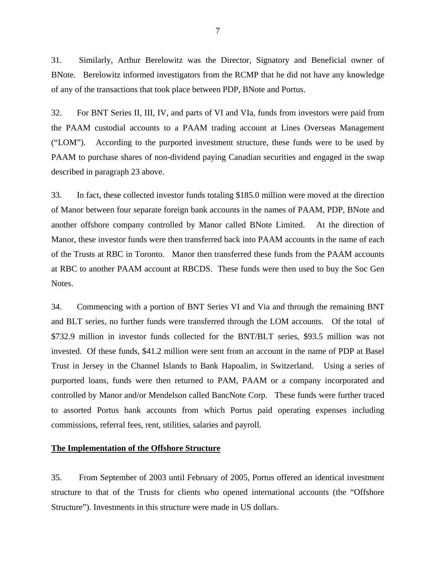31. Similarly, Arthur Berelowitz was the Director, Signatory and Beneficial owner of BNote. Berelowitz informed investigators from the RCMP that he did not have any knowledge of any of the transactions that took place between PDP, BNote and Portus.

32. For BNT Series II, III, IV, and parts of VI and VIa, funds from investors were paid from the PAAM custodial accounts to a PAAM trading account at Lines Overseas Management ("LOM"). According to the purported investment structure, these funds were to be used by PAAM to purchase shares of non-dividend paying Canadian securities and engaged in the swap described in paragraph 23 above.

33. In fact, these collected investor funds totaling \$185.0 million were moved at the direction of Manor between four separate foreign bank accounts in the names of PAAM, PDP, BNote and another offshore company controlled by Manor called BNote Limited. At the direction of Manor, these investor funds were then transferred back into PAAM accounts in the name of each of the Trusts at RBC in Toronto. Manor then transferred these funds from the PAAM accounts at RBC to another PAAM account at RBCDS. These funds were then used to buy the Soc Gen Notes.

34. Commencing with a portion of BNT Series VI and Via and through the remaining BNT and BLT series, no further funds were transferred through the LOM accounts. Of the total of \$732.9 million in investor funds collected for the BNT/BLT series, \$93.5 million was not invested. Of these funds, \$41.2 million were sent from an account in the name of PDP at Basel Trust in Jersey in the Channel Islands to Bank Hapoalim, in Switzerland. Using a series of purported loans, funds were then returned to PAM, PAAM or a company incorporated and controlled by Manor and/or Mendelson called BancNote Corp. These funds were further traced to assorted Portus bank accounts from which Portus paid operating expenses including commissions, referral fees, rent, utilities, salaries and payroll.

## **The Implementation of the Offshore Structure**

35. From September of 2003 until February of 2005, Portus offered an identical investment structure to that of the Trusts for clients who opened international accounts (the "Offshore Structure"). Investments in this structure were made in US dollars.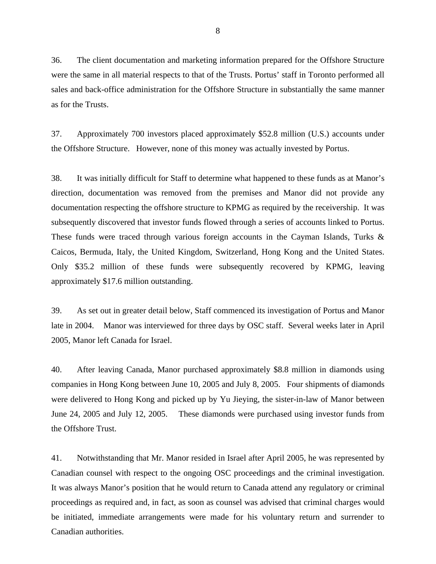36. The client documentation and marketing information prepared for the Offshore Structure were the same in all material respects to that of the Trusts. Portus' staff in Toronto performed all sales and back-office administration for the Offshore Structure in substantially the same manner as for the Trusts.

37. Approximately 700 investors placed approximately \$52.8 million (U.S.) accounts under the Offshore Structure. However, none of this money was actually invested by Portus.

38. It was initially difficult for Staff to determine what happened to these funds as at Manor's direction, documentation was removed from the premises and Manor did not provide any documentation respecting the offshore structure to KPMG as required by the receivership. It was subsequently discovered that investor funds flowed through a series of accounts linked to Portus. These funds were traced through various foreign accounts in the Cayman Islands, Turks & Caicos, Bermuda, Italy, the United Kingdom, Switzerland, Hong Kong and the United States. Only \$35.2 million of these funds were subsequently recovered by KPMG, leaving approximately \$17.6 million outstanding.

39. As set out in greater detail below, Staff commenced its investigation of Portus and Manor late in 2004. Manor was interviewed for three days by OSC staff. Several weeks later in April 2005, Manor left Canada for Israel.

40. After leaving Canada, Manor purchased approximately \$8.8 million in diamonds using companies in Hong Kong between June 10, 2005 and July 8, 2005. Four shipments of diamonds were delivered to Hong Kong and picked up by Yu Jieying, the sister-in-law of Manor between June 24, 2005 and July 12, 2005. These diamonds were purchased using investor funds from the Offshore Trust.

41. Notwithstanding that Mr. Manor resided in Israel after April 2005, he was represented by Canadian counsel with respect to the ongoing OSC proceedings and the criminal investigation. It was always Manor's position that he would return to Canada attend any regulatory or criminal proceedings as required and, in fact, as soon as counsel was advised that criminal charges would be initiated, immediate arrangements were made for his voluntary return and surrender to Canadian authorities.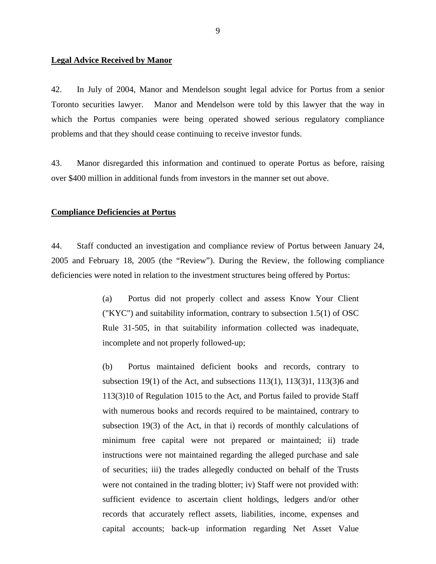#### **Legal Advice Received by Manor**

42. In July of 2004, Manor and Mendelson sought legal advice for Portus from a senior Toronto securities lawyer. Manor and Mendelson were told by this lawyer that the way in which the Portus companies were being operated showed serious regulatory compliance problems and that they should cease continuing to receive investor funds.

43. Manor disregarded this information and continued to operate Portus as before, raising over \$400 million in additional funds from investors in the manner set out above.

#### **Compliance Deficiencies at Portus**

44. Staff conducted an investigation and compliance review of Portus between January 24, 2005 and February 18, 2005 (the "Review"). During the Review, the following compliance deficiencies were noted in relation to the investment structures being offered by Portus:

> (a) Portus did not properly collect and assess Know Your Client ("KYC") and suitability information, contrary to subsection 1.5(1) of OSC Rule 31-505, in that suitability information collected was inadequate, incomplete and not properly followed-up;

> (b) Portus maintained deficient books and records, contrary to subsection 19(1) of the Act, and subsections  $113(1)$ ,  $113(3)1$ ,  $113(3)6$  and 113(3)10 of Regulation 1015 to the Act, and Portus failed to provide Staff with numerous books and records required to be maintained, contrary to subsection 19(3) of the Act, in that i) records of monthly calculations of minimum free capital were not prepared or maintained; ii) trade instructions were not maintained regarding the alleged purchase and sale of securities; iii) the trades allegedly conducted on behalf of the Trusts were not contained in the trading blotter; iv) Staff were not provided with: sufficient evidence to ascertain client holdings, ledgers and/or other records that accurately reflect assets, liabilities, income, expenses and capital accounts; back-up information regarding Net Asset Value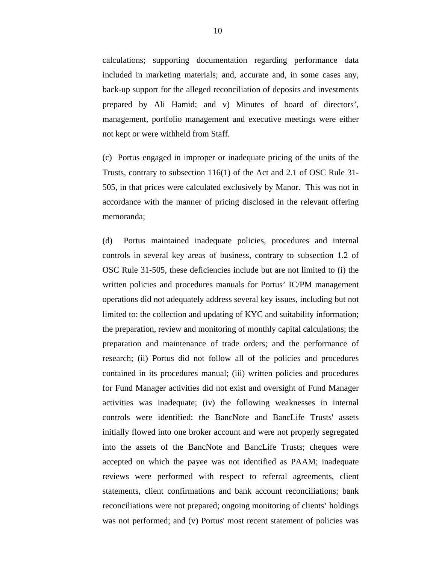calculations; supporting documentation regarding performance data included in marketing materials; and, accurate and, in some cases any, back-up support for the alleged reconciliation of deposits and investments prepared by Ali Hamid; and v) Minutes of board of directors', management, portfolio management and executive meetings were either not kept or were withheld from Staff.

(c) Portus engaged in improper or inadequate pricing of the units of the Trusts, contrary to subsection 116(1) of the Act and 2.1 of OSC Rule 31- 505, in that prices were calculated exclusively by Manor. This was not in accordance with the manner of pricing disclosed in the relevant offering memoranda;

(d) Portus maintained inadequate policies, procedures and internal controls in several key areas of business, contrary to subsection 1.2 of OSC Rule 31-505, these deficiencies include but are not limited to (i) the written policies and procedures manuals for Portus' IC/PM management operations did not adequately address several key issues, including but not limited to: the collection and updating of KYC and suitability information; the preparation, review and monitoring of monthly capital calculations; the preparation and maintenance of trade orders; and the performance of research; (ii) Portus did not follow all of the policies and procedures contained in its procedures manual; (iii) written policies and procedures for Fund Manager activities did not exist and oversight of Fund Manager activities was inadequate; (iv) the following weaknesses in internal controls were identified: the BancNote and BancLife Trusts' assets initially flowed into one broker account and were not properly segregated into the assets of the BancNote and BancLife Trusts; cheques were accepted on which the payee was not identified as PAAM; inadequate reviews were performed with respect to referral agreements, client statements, client confirmations and bank account reconciliations; bank reconciliations were not prepared; ongoing monitoring of clients' holdings was not performed; and (v) Portus' most recent statement of policies was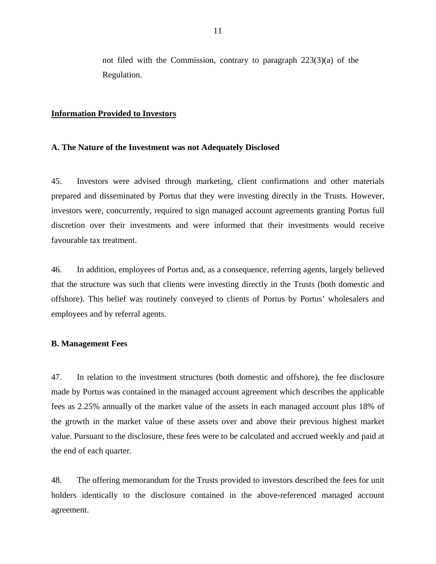not filed with the Commission, contrary to paragraph 223(3)(a) of the Regulation.

#### **Information Provided to Investors**

#### **A. The Nature of the Investment was not Adequately Disclosed**

45. Investors were advised through marketing, client confirmations and other materials prepared and disseminated by Portus that they were investing directly in the Trusts. However, investors were, concurrently, required to sign managed account agreements granting Portus full discretion over their investments and were informed that their investments would receive favourable tax treatment.

46. In addition, employees of Portus and, as a consequence, referring agents, largely believed that the structure was such that clients were investing directly in the Trusts (both domestic and offshore). This belief was routinely conveyed to clients of Portus by Portus' wholesalers and employees and by referral agents.

#### **B. Management Fees**

47. In relation to the investment structures (both domestic and offshore), the fee disclosure made by Portus was contained in the managed account agreement which describes the applicable fees as 2.25% annually of the market value of the assets in each managed account plus 18% of the growth in the market value of these assets over and above their previous highest market value. Pursuant to the disclosure, these fees were to be calculated and accrued weekly and paid at the end of each quarter.

48. The offering memorandum for the Trusts provided to investors described the fees for unit holders identically to the disclosure contained in the above-referenced managed account agreement.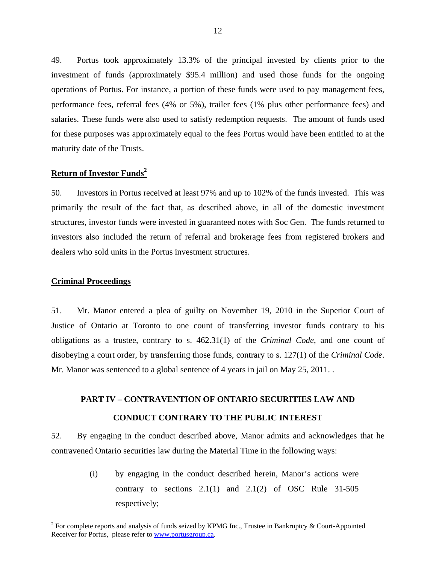49. Portus took approximately 13.3% of the principal invested by clients prior to the investment of funds (approximately \$95.4 million) and used those funds for the ongoing operations of Portus. For instance, a portion of these funds were used to pay management fees, performance fees, referral fees (4% or 5%), trailer fees (1% plus other performance fees) and salaries. These funds were also used to satisfy redemption requests. The amount of funds used for these purposes was approximately equal to the fees Portus would have been entitled to at the maturity date of the Trusts.

# **Return of Investor Funds<sup>2</sup>**

50. Investors in Portus received at least 97% and up to 102% of the funds invested. This was primarily the result of the fact that, as described above, in all of the domestic investment structures, investor funds were invested in guaranteed notes with Soc Gen. The funds returned to investors also included the return of referral and brokerage fees from registered brokers and dealers who sold units in the Portus investment structures.

#### **Criminal Proceedings**

 $\overline{a}$ 

51. Mr. Manor entered a plea of guilty on November 19, 2010 in the Superior Court of Justice of Ontario at Toronto to one count of transferring investor funds contrary to his obligations as a trustee, contrary to s. 462.31(1) of the *Criminal Code*, and one count of disobeying a court order, by transferring those funds, contrary to s. 127(1) of the *Criminal Code*. Mr. Manor was sentenced to a global sentence of 4 years in jail on May 25, 2011. .

# **PART IV – CONTRAVENTION OF ONTARIO SECURITIES LAW AND CONDUCT CONTRARY TO THE PUBLIC INTEREST**

52. By engaging in the conduct described above, Manor admits and acknowledges that he contravened Ontario securities law during the Material Time in the following ways:

> (i) by engaging in the conduct described herein, Manor's actions were contrary to sections  $2.1(1)$  and  $2.1(2)$  of OSC Rule 31-505 respectively;

<sup>&</sup>lt;sup>2</sup> For complete reports and analysis of funds seized by KPMG Inc., Trustee in Bankruptcy & Court-Appointed Receiver for Portus, please refer to www.portusgroup.ca.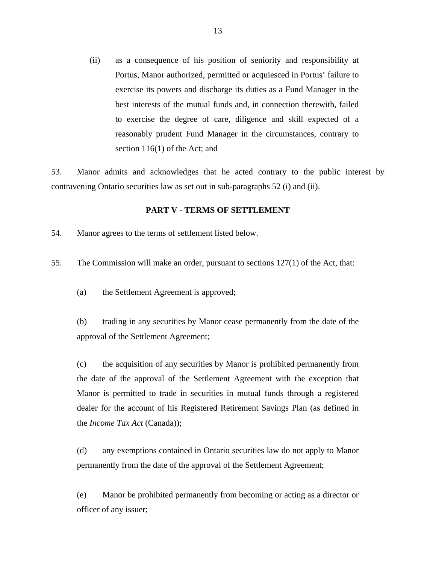(ii) as a consequence of his position of seniority and responsibility at Portus, Manor authorized, permitted or acquiesced in Portus' failure to exercise its powers and discharge its duties as a Fund Manager in the best interests of the mutual funds and, in connection therewith, failed to exercise the degree of care, diligence and skill expected of a reasonably prudent Fund Manager in the circumstances, contrary to section 116(1) of the Act; and

53. Manor admits and acknowledges that he acted contrary to the public interest by contravening Ontario securities law as set out in sub-paragraphs 52 (i) and (ii).

#### **PART V - TERMS OF SETTLEMENT**

54. Manor agrees to the terms of settlement listed below.

55. The Commission will make an order, pursuant to sections 127(1) of the Act, that:

(a) the Settlement Agreement is approved;

(b) trading in any securities by Manor cease permanently from the date of the approval of the Settlement Agreement;

(c) the acquisition of any securities by Manor is prohibited permanently from the date of the approval of the Settlement Agreement with the exception that Manor is permitted to trade in securities in mutual funds through a registered dealer for the account of his Registered Retirement Savings Plan (as defined in the *Income Tax Act* (Canada));

(d) any exemptions contained in Ontario securities law do not apply to Manor permanently from the date of the approval of the Settlement Agreement;

(e) Manor be prohibited permanently from becoming or acting as a director or officer of any issuer;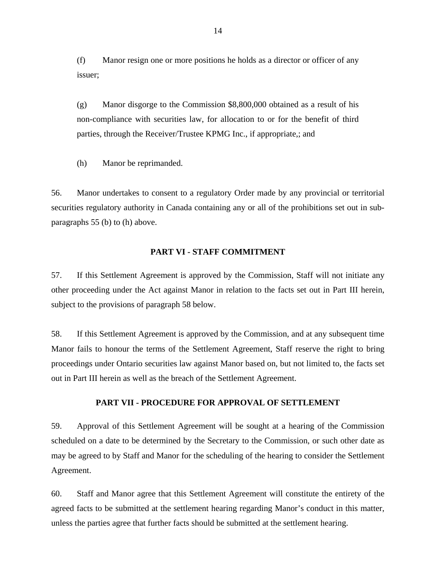(f) Manor resign one or more positions he holds as a director or officer of any issuer;

(g) Manor disgorge to the Commission \$8,800,000 obtained as a result of his non-compliance with securities law, for allocation to or for the benefit of third parties, through the Receiver/Trustee KPMG Inc., if appropriate,; and

(h) Manor be reprimanded.

56. Manor undertakes to consent to a regulatory Order made by any provincial or territorial securities regulatory authority in Canada containing any or all of the prohibitions set out in subparagraphs 55 (b) to (h) above.

#### **PART VI - STAFF COMMITMENT**

57. If this Settlement Agreement is approved by the Commission, Staff will not initiate any other proceeding under the Act against Manor in relation to the facts set out in Part III herein, subject to the provisions of paragraph 58 below.

58. If this Settlement Agreement is approved by the Commission, and at any subsequent time Manor fails to honour the terms of the Settlement Agreement, Staff reserve the right to bring proceedings under Ontario securities law against Manor based on, but not limited to, the facts set out in Part III herein as well as the breach of the Settlement Agreement.

#### **PART VII - PROCEDURE FOR APPROVAL OF SETTLEMENT**

59. Approval of this Settlement Agreement will be sought at a hearing of the Commission scheduled on a date to be determined by the Secretary to the Commission, or such other date as may be agreed to by Staff and Manor for the scheduling of the hearing to consider the Settlement Agreement.

60. Staff and Manor agree that this Settlement Agreement will constitute the entirety of the agreed facts to be submitted at the settlement hearing regarding Manor's conduct in this matter, unless the parties agree that further facts should be submitted at the settlement hearing.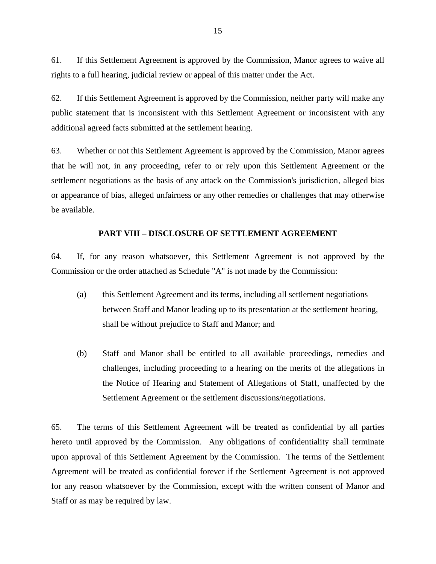61. If this Settlement Agreement is approved by the Commission, Manor agrees to waive all rights to a full hearing, judicial review or appeal of this matter under the Act.

62. If this Settlement Agreement is approved by the Commission, neither party will make any public statement that is inconsistent with this Settlement Agreement or inconsistent with any additional agreed facts submitted at the settlement hearing.

63. Whether or not this Settlement Agreement is approved by the Commission, Manor agrees that he will not, in any proceeding, refer to or rely upon this Settlement Agreement or the settlement negotiations as the basis of any attack on the Commission's jurisdiction, alleged bias or appearance of bias, alleged unfairness or any other remedies or challenges that may otherwise be available.

#### **PART VIII – DISCLOSURE OF SETTLEMENT AGREEMENT**

64. If, for any reason whatsoever, this Settlement Agreement is not approved by the Commission or the order attached as Schedule "A" is not made by the Commission:

- (a) this Settlement Agreement and its terms, including all settlement negotiations between Staff and Manor leading up to its presentation at the settlement hearing, shall be without prejudice to Staff and Manor; and
- (b) Staff and Manor shall be entitled to all available proceedings, remedies and challenges, including proceeding to a hearing on the merits of the allegations in the Notice of Hearing and Statement of Allegations of Staff, unaffected by the Settlement Agreement or the settlement discussions/negotiations.

65. The terms of this Settlement Agreement will be treated as confidential by all parties hereto until approved by the Commission. Any obligations of confidentiality shall terminate upon approval of this Settlement Agreement by the Commission. The terms of the Settlement Agreement will be treated as confidential forever if the Settlement Agreement is not approved for any reason whatsoever by the Commission, except with the written consent of Manor and Staff or as may be required by law.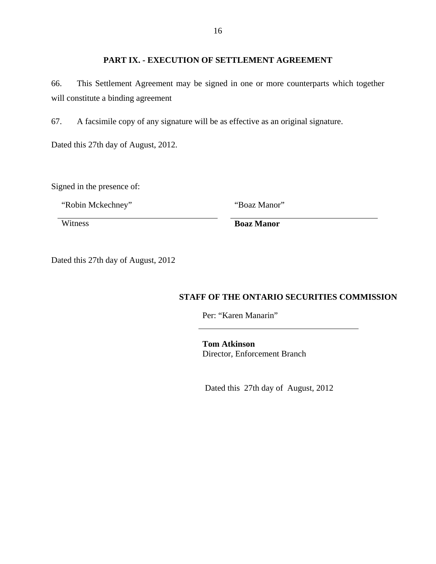# **PART IX. - EXECUTION OF SETTLEMENT AGREEMENT**

66. This Settlement Agreement may be signed in one or more counterparts which together will constitute a binding agreement

67. A facsimile copy of any signature will be as effective as an original signature.

Dated this 27th day of August, 2012.

Signed in the presence of:

"Robin Mckechney" "Boaz Manor"

Witness **Boaz Manor** 

Dated this 27th day of August, 2012

# **STAFF OF THE ONTARIO SECURITIES COMMISSION**

Per: "Karen Manarin"

**Tom Atkinson**  Director, Enforcement Branch

Dated this 27th day of August, 2012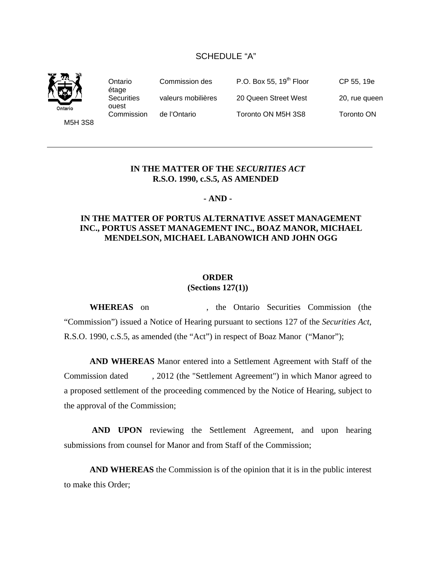## SCHEDULE "A"



Ontario Commission des P.O. Box 55, 19<sup>th</sup> Floor CP 55, 19e étage Securities valeurs mobilières 20 Queen Street West 20, rue queen ouest Commission de l'Ontario Toronto ON M5H 3S8 Toronto ON

M5H 3S8

## **IN THE MATTER OF THE** *SECURITIES ACT* **R.S.O. 1990, c.S.5, AS AMENDED**

#### **- AND -**

# **IN THE MATTER OF PORTUS ALTERNATIVE ASSET MANAGEMENT INC., PORTUS ASSET MANAGEMENT INC., BOAZ MANOR, MICHAEL MENDELSON, MICHAEL LABANOWICH AND JOHN OGG**

## **ORDER**

#### **(Sections 127(1))**

**WHEREAS** on , the Ontario Securities Commission (the "Commission") issued a Notice of Hearing pursuant to sections 127 of the *Securities Act*, R.S.O. 1990, c.S.5, as amended (the "Act") in respect of Boaz Manor ("Manor");

**AND WHEREAS** Manor entered into a Settlement Agreement with Staff of the Commission dated , 2012 (the "Settlement Agreement") in which Manor agreed to a proposed settlement of the proceeding commenced by the Notice of Hearing, subject to the approval of the Commission;

 **AND UPON** reviewing the Settlement Agreement, and upon hearing submissions from counsel for Manor and from Staff of the Commission;

**AND WHEREAS** the Commission is of the opinion that it is in the public interest to make this Order;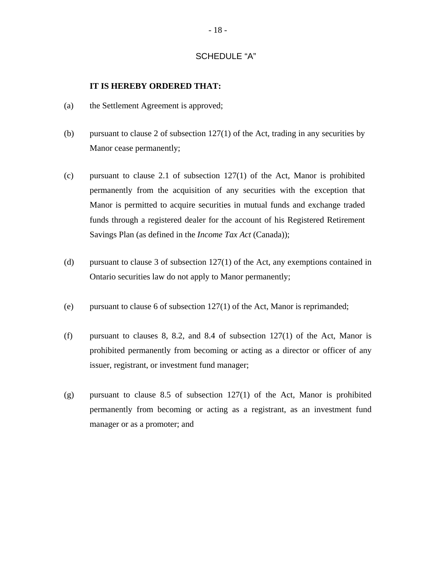## SCHEDULE "A"

#### **IT IS HEREBY ORDERED THAT:**

- (a) the Settlement Agreement is approved;
- (b) pursuant to clause 2 of subsection 127(1) of the Act, trading in any securities by Manor cease permanently;
- (c) pursuant to clause 2.1 of subsection 127(1) of the Act, Manor is prohibited permanently from the acquisition of any securities with the exception that Manor is permitted to acquire securities in mutual funds and exchange traded funds through a registered dealer for the account of his Registered Retirement Savings Plan (as defined in the *Income Tax Act* (Canada));
- (d) pursuant to clause 3 of subsection 127(1) of the Act, any exemptions contained in Ontario securities law do not apply to Manor permanently;
- (e) pursuant to clause 6 of subsection 127(1) of the Act, Manor is reprimanded;
- (f) pursuant to clauses 8, 8.2, and 8.4 of subsection  $127(1)$  of the Act, Manor is prohibited permanently from becoming or acting as a director or officer of any issuer, registrant, or investment fund manager;
- (g) pursuant to clause 8.5 of subsection 127(1) of the Act, Manor is prohibited permanently from becoming or acting as a registrant, as an investment fund manager or as a promoter; and